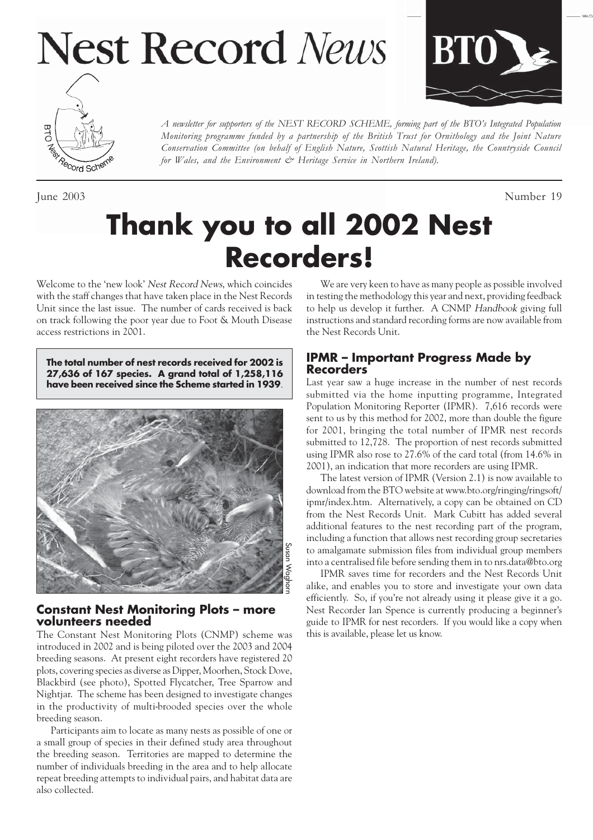# **Nest Record News**





*Monitoring programme funded by a partnership of the British Trust for Ornithology and the Joint Nature Conservation Committee (on behalf of English Nature, Scottish Natural Heritage, the Countryside Council for Wales, and the Environment & Heritage Service in Northern Ireland).*

*A newsletter for supporters of the NEST RECORD SCHEME, forming part of the BTO's Integrated Population*

June 2003 Number 19

# **Thank you to all 2002 Nest Recorders!**

Welcome to the 'new look' Nest Record News, which coincides with the staff changes that have taken place in the Nest Records Unit since the last issue. The number of cards received is back on track following the poor year due to Foot & Mouth Disease access restrictions in 2001.

**The total number of nest records received for 2002 is 27,636 of 167 species. A grand total of 1,258,116 have been received since the Scheme started in 1939**.



#### **Constant Nest Monitoring Plots – more volunteers needed**

The Constant Nest Monitoring Plots (CNMP) scheme was introduced in 2002 and is being piloted over the 2003 and 2004 breeding seasons. At present eight recorders have registered 20 plots, covering species as diverse as Dipper, Moorhen, Stock Dove, Blackbird (see photo), Spotted Flycatcher, Tree Sparrow and Nightjar. The scheme has been designed to investigate changes in the productivity of multi-brooded species over the whole breeding season.

Participants aim to locate as many nests as possible of one or a small group of species in their defined study area throughout the breeding season. Territories are mapped to determine the number of individuals breeding in the area and to help allocate repeat breeding attempts to individual pairs, and habitat data are also collected.

We are very keen to have as many people as possible involved in testing the methodology this year and next, providing feedback to help us develop it further. A CNMP Handbook giving full instructions and standard recording forms are now available from the Nest Records Unit.

#### **IPMR – Important Progress Made by Recorders**

Last year saw a huge increase in the number of nest records submitted via the home inputting programme, Integrated Population Monitoring Reporter (IPMR). 7,616 records were sent to us by this method for 2002, more than double the figure for 2001, bringing the total number of IPMR nest records submitted to 12,728. The proportion of nest records submitted using IPMR also rose to 27.6% of the card total (from 14.6% in 2001), an indication that more recorders are using IPMR.

The latest version of IPMR (Version 2.1) is now available to download from the BTO website at www.bto.org/ringing/ringsoft/ ipmr/index.htm. Alternatively, a copy can be obtained on CD from the Nest Records Unit. Mark Cubitt has added several additional features to the nest recording part of the program, including a function that allows nest recording group secretaries to amalgamate submission files from individual group members into a centralised file before sending them in to nrs.data@bto.org

IPMR saves time for recorders and the Nest Records Unit alike, and enables you to store and investigate your own data efficiently. So, if you're not already using it please give it a go. Nest Recorder Ian Spence is currently producing a beginner's guide to IPMR for nest recorders. If you would like a copy when this is available, please let us know.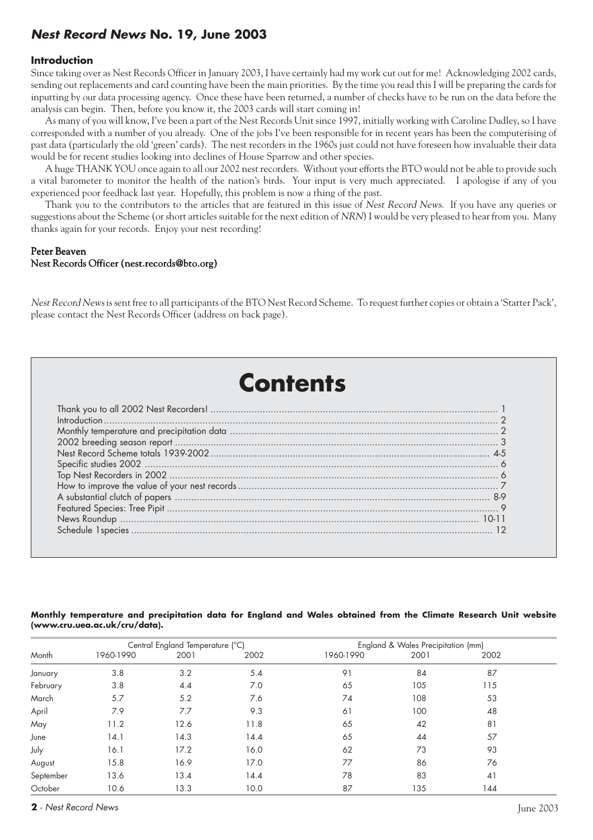# **Nest Record News No. 19, June 2003**

#### **Introduction**

Since taking over as Nest Records Officer in January 2003, I have certainly had my work cut out for me! Acknowledging 2002 cards, sending out replacements and card counting have been the main priorities. By the time you read this I will be preparing the cards for inputting by our data processing agency. Once these have been returned, a number of checks have to be run on the data before the analysis can begin. Then, before you know it, the 2003 cards will start coming in!

As many of you will know, I've been a part of the Nest Records Unit since 1997, initially working with Caroline Dudley, so I have corresponded with a number of you already. One of the jobs I've been responsible for in recent years has been the computerising of past data (particularly the old 'green' cards). The nest recorders in the 1960s just could not have foreseen how invaluable their data would be for recent studies looking into declines of House Sparrow and other species.

A huge THANK YOU once again to all our 2002 nest recorders. Without your efforts the BTO would not be able to provide such a vital barometer to monitor the health of the nation's birds. Your input is very much appreciated. I apologise if any of you experienced poor feedback last year. Hopefully, this problem is now a thing of the past.

Thank you to the contributors to the articles that are featured in this issue of Nest Record News. If you have any queries or suggestions about the Scheme (or short articles suitable for the next edition of NRN) I would be very pleased to hear from you. Many thanks again for your records. Enjoy your nest recording!

#### Peter Beaven Nest Records Officer (nest.records@bto.org)

Nest Record News is sent free to all participants of the BTO Nest Record Scheme. To request further copies or obtain a 'Starter Pack', please contact the Nest Records Officer (address on back page).

# **Contents**

#### **Monthly temperature and precipitation data for England and Wales obtained from the Climate Research Unit website (www.cru.uea.ac.uk/cru/data).**

|           |           | Central England Temperature (°C) |      | England & Wales Precipitation (mm) |      |      |  |
|-----------|-----------|----------------------------------|------|------------------------------------|------|------|--|
| Month     | 1960-1990 | 2001                             | 2002 | 1960-1990                          | 2001 | 2002 |  |
| January   | 3.8       | 3.2                              | 5.4  | 91                                 | 84   | 87   |  |
| February  | 3.8       | 4.4                              | 7.0  | 65                                 | 105  | 115  |  |
| March     | 5.7       | 5.2                              | 7.6  | 74                                 | 108  | 53   |  |
| April     | 7.9       | 7.7                              | 9.3  | 61                                 | 100  | 48   |  |
| May       | 11.2      | 12.6                             | 11.8 | 65                                 | 42   | 81   |  |
| June      | 14.1      | 14.3                             | 14.4 | 65                                 | 44   | 57   |  |
| July      | 16.1      | 17.2                             | 16.0 | 62                                 | 73   | 93   |  |
| August    | 15.8      | 16.9                             | 17.0 | 77                                 | 86   | 76   |  |
| September | 13.6      | 13.4                             | 14.4 | 78                                 | 83   | 41   |  |
| October   | 10.6      | 13.3                             | 10.0 | 87                                 | 135  | 144  |  |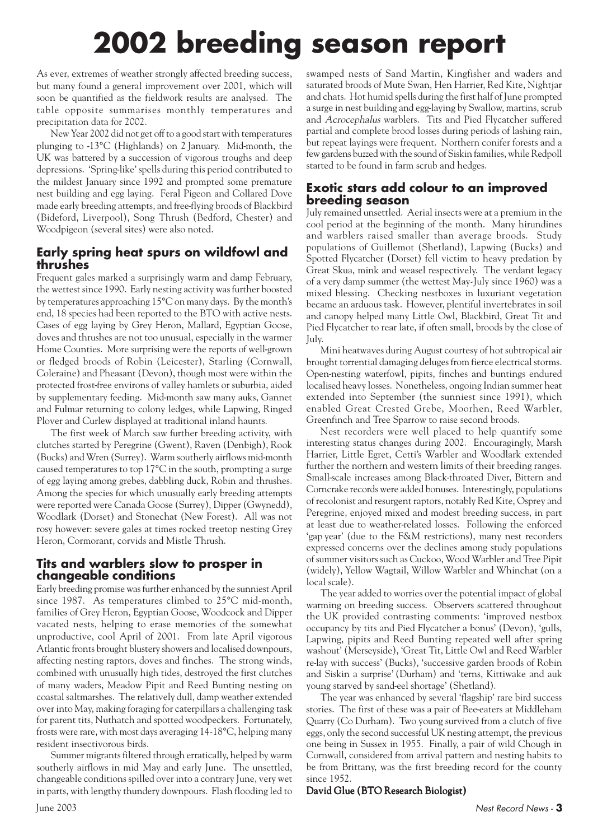# **2002 breeding season report**

As ever, extremes of weather strongly affected breeding success, but many found a general improvement over 2001, which will soon be quantified as the fieldwork results are analysed. The table opposite summarises monthly temperatures and precipitation data for 2002.

New Year 2002 did not get off to a good start with temperatures plunging to -13°C (Highlands) on 2 January. Mid-month, the UK was battered by a succession of vigorous troughs and deep depressions. 'Spring-like' spells during this period contributed to the mildest January since 1992 and prompted some premature nest building and egg laying. Feral Pigeon and Collared Dove made early breeding attempts, and free-flying broods of Blackbird (Bideford, Liverpool), Song Thrush (Bedford, Chester) and Woodpigeon (several sites) were also noted.

### **Early spring heat spurs on wildfowl and thrushes**

Frequent gales marked a surprisingly warm and damp February, the wettest since 1990. Early nesting activity was further boosted by temperatures approaching 15°C on many days. By the month's end, 18 species had been reported to the BTO with active nests. Cases of egg laying by Grey Heron, Mallard, Egyptian Goose, doves and thrushes are not too unusual, especially in the warmer Home Counties. More surprising were the reports of well-grown or fledged broods of Robin (Leicester), Starling (Cornwall, Coleraine) and Pheasant (Devon), though most were within the protected frost-free environs of valley hamlets or suburbia, aided by supplementary feeding. Mid-month saw many auks, Gannet and Fulmar returning to colony ledges, while Lapwing, Ringed Plover and Curlew displayed at traditional inland haunts.

The first week of March saw further breeding activity, with clutches started by Peregrine (Gwent), Raven (Denbigh), Rook (Bucks) and Wren (Surrey). Warm southerly airflows mid-month caused temperatures to top 17°C in the south, prompting a surge of egg laying among grebes, dabbling duck, Robin and thrushes. Among the species for which unusually early breeding attempts were reported were Canada Goose (Surrey), Dipper (Gwynedd), Woodlark (Dorset) and Stonechat (New Forest). All was not rosy however: severe gales at times rocked treetop nesting Grey Heron, Cormorant, corvids and Mistle Thrush.

### **Tits and warblers slow to prosper in changeable conditions**

Early breeding promise was further enhanced by the sunniest April since 1987. As temperatures climbed to 25°C mid-month, families of Grey Heron, Egyptian Goose, Woodcock and Dipper vacated nests, helping to erase memories of the somewhat unproductive, cool April of 2001. From late April vigorous Atlantic fronts brought blustery showers and localised downpours, affecting nesting raptors, doves and finches. The strong winds, combined with unusually high tides, destroyed the first clutches of many waders, Meadow Pipit and Reed Bunting nesting on coastal saltmarshes. The relatively dull, damp weather extended over into May, making foraging for caterpillars a challenging task for parent tits, Nuthatch and spotted woodpeckers. Fortunately, frosts were rare, with most days averaging 14-18°C, helping many resident insectivorous birds.

Summer migrants filtered through erratically, helped by warm southerly airflows in mid May and early June. The unsettled, changeable conditions spilled over into a contrary June, very wet in parts, with lengthy thundery downpours. Flash flooding led to swamped nests of Sand Martin, Kingfisher and waders and saturated broods of Mute Swan, Hen Harrier, Red Kite, Nightjar and chats. Hot humid spells during the first half of June prompted a surge in nest building and egg-laying by Swallow, martins, scrub and Acrocephalus warblers. Tits and Pied Flycatcher suffered partial and complete brood losses during periods of lashing rain, but repeat layings were frequent. Northern conifer forests and a few gardens buzzed with the sound of Siskin families, while Redpoll started to be found in farm scrub and hedges.

### **Exotic stars add colour to an improved breeding season**

July remained unsettled. Aerial insects were at a premium in the cool period at the beginning of the month. Many hirundines and warblers raised smaller than average broods. Study populations of Guillemot (Shetland), Lapwing (Bucks) and Spotted Flycatcher (Dorset) fell victim to heavy predation by Great Skua, mink and weasel respectively. The verdant legacy of a very damp summer (the wettest May-July since 1960) was a mixed blessing. Checking nestboxes in luxuriant vegetation became an arduous task. However, plentiful invertebrates in soil and canopy helped many Little Owl, Blackbird, Great Tit and Pied Flycatcher to rear late, if often small, broods by the close of July.

Mini heatwaves during August courtesy of hot subtropical air brought torrential damaging deluges from fierce electrical storms. Open-nesting waterfowl, pipits, finches and buntings endured localised heavy losses. Nonetheless, ongoing Indian summer heat extended into September (the sunniest since 1991), which enabled Great Crested Grebe, Moorhen, Reed Warbler, Greenfinch and Tree Sparrow to raise second broods.

Nest recorders were well placed to help quantify some interesting status changes during 2002. Encouragingly, Marsh Harrier, Little Egret, Cetti's Warbler and Woodlark extended further the northern and western limits of their breeding ranges. Small-scale increases among Black-throated Diver, Bittern and Corncrake records were added bonuses. Interestingly, populations of recolonist and resurgent raptors, notably Red Kite, Osprey and Peregrine, enjoyed mixed and modest breeding success, in part at least due to weather-related losses. Following the enforced 'gap year' (due to the F&M restrictions), many nest recorders expressed concerns over the declines among study populations of summer visitors such as Cuckoo, Wood Warbler and Tree Pipit (widely), Yellow Wagtail, Willow Warbler and Whinchat (on a local scale).

The year added to worries over the potential impact of global warming on breeding success. Observers scattered throughout the UK provided contrasting comments: 'improved nestbox occupancy by tits and Pied Flycatcher a bonus' (Devon), 'gulls, Lapwing, pipits and Reed Bunting repeated well after spring washout' (Merseyside), 'Great Tit, Little Owl and Reed Warbler re-lay with success' (Bucks), 'successive garden broods of Robin and Siskin a surprise'(Durham) and 'terns, Kittiwake and auk young starved by sand-eel shortage' (Shetland).

The year was enhanced by several 'flagship' rare bird success stories. The first of these was a pair of Bee-eaters at Middleham Quarry (Co Durham). Two young survived from a clutch of five eggs, only the second successful UK nesting attempt, the previous one being in Sussex in 1955. Finally, a pair of wild Chough in Cornwall, considered from arrival pattern and nesting habits to be from Brittany, was the first breeding record for the county since 1952.

#### David Glue (BTO Research Biologist)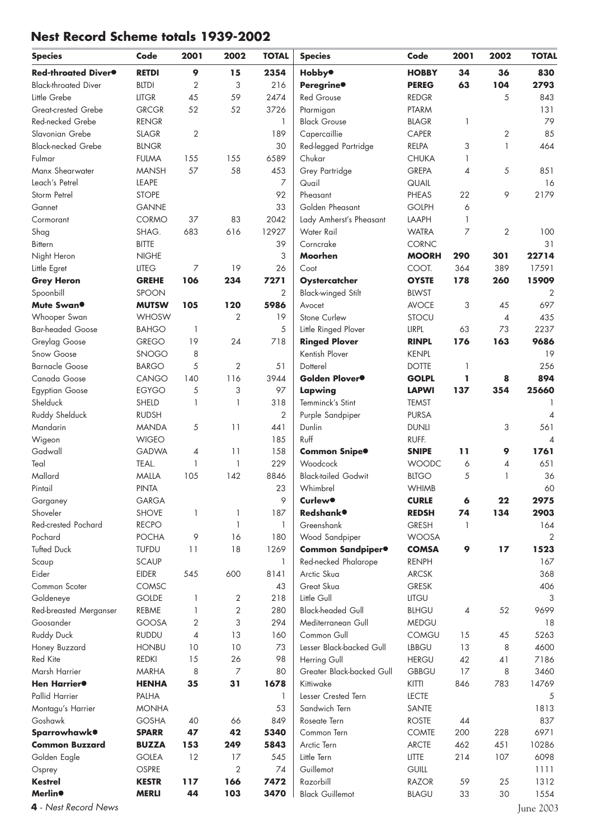# **Nest Record Scheme totals 1939-2002**

| <b>Species</b>                              | Code                         | 2001                     | 2002           | <b>TOTAL</b>   | <b>Species</b>                      | Code         | 2001                     | 2002         | <b>TOTAL</b>             |
|---------------------------------------------|------------------------------|--------------------------|----------------|----------------|-------------------------------------|--------------|--------------------------|--------------|--------------------------|
| Red-throated Diver <sup>®</sup>             | <b>RETDI</b>                 | 9                        | 15             | 2354           | <b>Hobby</b> <sup>®</sup>           | <b>HOBBY</b> | 34                       | 36           | 830                      |
| <b>Black-throated Diver</b>                 | <b>BLTDI</b>                 | 2                        | 3              | 216            | Peregrine <sup>®</sup>              | <b>PEREG</b> | 63                       | 104          | 2793                     |
| Little Grebe                                | <b>LITGR</b>                 | 45                       | 59             | 2474           | <b>Red Grouse</b>                   | <b>REDGR</b> |                          | 5            | 843                      |
| Great-crested Grebe                         | <b>GRCGR</b>                 | 52                       | 52             | 3726           | Ptarmigan                           | <b>PTARM</b> |                          |              | 131                      |
| Red-necked Grebe                            | <b>RENGR</b>                 |                          |                | $\mathbf{1}$   | <b>Black Grouse</b>                 | <b>BLAGR</b> | 1                        |              | 79                       |
| Slavonian Grebe                             | <b>SLAGR</b>                 | $\overline{2}$           |                | 189            | Capercaillie                        | CAPER        |                          | 2            | 85                       |
| <b>Black-necked Grebe</b>                   | <b>BLNGR</b>                 |                          |                | 30             | Red-legged Partridge                | RELPA        | 3                        | $\mathbf{1}$ | 464                      |
| Fulmar                                      | <b>FULMA</b>                 | 155                      | 155            | 6589           | Chukar                              | <b>CHUKA</b> | 1                        |              |                          |
| Manx Shearwater                             | <b>MANSH</b>                 | 57                       | 58             | 453            | Grey Partridge                      | <b>GREPA</b> | $\overline{\mathcal{A}}$ | 5            | 851                      |
| Leach's Petrel                              | LEAPE                        |                          |                | $\overline{7}$ | Quail                               | QUAIL        |                          |              | 16                       |
| Storm Petrel                                | <b>STOPE</b>                 |                          |                | 92             | Pheasant                            | PHEAS        | 22                       | 9            | 2179                     |
| Gannet                                      | <b>GANNE</b>                 |                          |                | 33             | Golden Pheasant                     | <b>GOLPH</b> | 6                        |              |                          |
| Cormorant                                   | CORMO                        | 37                       | 83             | 2042           | Lady Amherst's Pheasant             | LAAPH        | $\mathbf{1}$             |              |                          |
| Shag                                        | SHAG.                        | 683                      | 616            | 12927          | Water Rail                          | <b>WATRA</b> | 7                        | $\mathbf{2}$ | 100                      |
| <b>Bittern</b>                              | <b>BITTE</b>                 |                          |                | 39             | Corncrake                           | <b>CORNC</b> |                          |              | 31                       |
| Night Heron                                 | <b>NIGHE</b>                 |                          |                | 3              | Moorhen                             | <b>MOORH</b> | 290                      | 301          | 22714                    |
| Little Egret                                | <b>LITEG</b>                 | $\overline{7}$           | 19             | 26             | Coot                                | COOT.        | 364                      | 389          | 17591                    |
| <b>Grey Heron</b>                           | <b>GREHE</b>                 | 106                      | 234            | 7271           | Oystercatcher                       | <b>OYSTE</b> | 178                      | 260          | 15909                    |
| Spoonbill                                   | <b>SPOON</b>                 |                          |                | $\overline{2}$ | <b>Black-winged Stilt</b>           | <b>BLWST</b> |                          |              | $\overline{2}$           |
| Mute Swan <sup>®</sup>                      | <b>MUTSW</b>                 | 105                      | 120            | 5986           | Avocet                              | <b>AVOCE</b> | 3                        | 45           | 697                      |
| Whooper Swan                                | <b>WHOSW</b>                 |                          | $\overline{2}$ | 19             | Stone Curlew                        | <b>STOCU</b> |                          | 4            | 435                      |
| <b>Bar-headed Goose</b>                     | <b>BAHGO</b>                 | 1                        |                | $\mathfrak{S}$ | Little Ringed Plover                | LIRPL        | 63                       | 73           | 2237                     |
| Greylag Goose                               | <b>GREGO</b>                 | 19                       | 24             | 718            | <b>Ringed Plover</b>                | <b>RINPL</b> | 176                      | 163          | 9686                     |
| Snow Goose                                  | <b>SNOGO</b>                 | 8                        |                |                | Kentish Plover                      | <b>KENPL</b> |                          |              | 19                       |
| <b>Barnacle Goose</b>                       | <b>BARGO</b>                 | 5                        | $\overline{2}$ | 51             | Dotterel                            | <b>DOTTE</b> | -1                       |              | 256                      |
| Canada Goose                                | CANGO                        | 140                      | 116            | 3944           | Golden Plover <sup>®</sup>          | <b>GOLPL</b> | ı                        | 8            | 894                      |
| <b>Egyptian Goose</b>                       | <b>EGYGO</b>                 | 5                        | 3              | 97             | Lapwing                             | <b>LAPWI</b> | 137                      | 354          | 25660                    |
| Shelduck                                    | SHELD                        | 1                        | 1              | 318            | Temminck's Stint                    | <b>TEMST</b> |                          |              |                          |
| Ruddy Shelduck                              | <b>RUDSH</b>                 |                          |                | $\overline{2}$ | Purple Sandpiper                    | <b>PURSA</b> |                          |              | $\overline{4}$           |
| Mandarin                                    | <b>MANDA</b>                 | 5                        | 11             | 441            | Dunlin                              | <b>DUNLI</b> |                          | 3            | 561                      |
| Wigeon                                      | <b>WIGEO</b>                 |                          |                | 185            | Ruff                                | RUFF.        |                          |              | $\overline{\mathcal{A}}$ |
| Gadwall                                     | <b>GADWA</b>                 | $\overline{\mathcal{A}}$ | 11             | 158            | Common Snipe <sup>®</sup>           | <b>SNIPE</b> | 11                       | 9            | 1761                     |
| Teal                                        | TEAL.                        | 1                        | $\mathbf{1}$   | 229            | Woodcock                            | <b>WOODC</b> | 6                        | 4            | 651                      |
| Mallard                                     | <b>MALLA</b>                 | 105                      | 142            | 8846           | <b>Black-tailed Godwit</b>          | <b>BLTGO</b> | 5                        | 1            | 36                       |
| Pintail                                     | <b>PINTA</b>                 |                          |                | 23             | Whimbrel                            | <b>WHIMB</b> |                          |              | 60                       |
| Garganey                                    | <b>GARGA</b>                 |                          |                | 9              | <b>Curlew®</b>                      | <b>CURLE</b> | 6                        | 22           | 2975                     |
| Shoveler                                    | <b>SHOVE</b>                 | $\mathbf{1}$             | 1              | 187            | <b>Redshank</b> <sup>o</sup>        | <b>REDSH</b> | 74                       | 134          | 2903                     |
| Red-crested Pochard                         | <b>RECPO</b>                 |                          | 1              | 1              | Greenshank                          | <b>GRESH</b> | $\mathbf{1}$             |              | 164                      |
| Pochard                                     | <b>POCHA</b>                 | 9                        | 16             | 180            | Wood Sandpiper                      | <b>WOOSA</b> |                          |              | 2                        |
| <b>Tufted Duck</b>                          | <b>TUFDU</b>                 | 11                       | 18             | 1269           | Common Sandpiper <sup>®</sup>       | <b>COMSA</b> | 9                        | 17           | 1523                     |
| Scaup                                       | <b>SCAUP</b>                 |                          |                | $\mathbf{1}$   | Red-necked Phalarope                | <b>RENPH</b> |                          |              | 167                      |
| Eider                                       | <b>EIDER</b>                 | 545                      | 600            | 8141           | Arctic Skua                         | <b>ARCSK</b> |                          |              | 368                      |
| Common Scoter                               | COMSC                        |                          |                | 43             | Great Skua                          | <b>GRESK</b> |                          |              | 406                      |
| Goldeneye                                   | <b>GOLDE</b>                 | 1                        | 2              | 218            | Little Gull                         | LITGU        |                          |              | 3                        |
| Red-breasted Merganser                      | REBME                        | 1                        | $\overline{c}$ | 280            | <b>Black-headed Gull</b>            | <b>BLHGU</b> | 4                        | 52           | 9699                     |
| Goosander                                   | GOOSA                        | 2                        | 3              | 294            | Mediterranean Gull                  | <b>MEDGU</b> |                          |              | 18                       |
| <b>Ruddy Duck</b>                           | <b>RUDDU</b>                 | $\overline{4}$           | 13             | 160            | Common Gull                         | <b>COMGU</b> | 15                       | 45           | 5263                     |
| Honey Buzzard                               | <b>HONBU</b>                 | 10                       | 10             | 73             | Lesser Black-backed Gull            | <b>LBBGU</b> | 13                       | 8            | 4600                     |
| Red Kite                                    | <b>REDKI</b>                 | 15                       | 26             | 98             | Herring Gull                        | <b>HERGU</b> | 42                       | 41           | 7186                     |
| Marsh Harrier                               | <b>MARHA</b>                 | 8                        | $\overline{7}$ | 80             | Greater Black-backed Gull           | <b>GBBGU</b> | 17                       | 8            | 3460                     |
| Hen Harrier <sup>®</sup>                    | <b>HENHA</b>                 | 35                       | 31             | 1678           | Kittiwake                           | <b>KITTI</b> | 846                      | 783          | 14769                    |
| Pallid Harrier                              | PALHA                        |                          |                | -1             | Lesser Crested Tern                 | <b>LECTE</b> |                          |              | 5                        |
| Montagu's Harrier                           | <b>MONHA</b>                 |                          |                | 53             | Sandwich Tern                       | SANTE        |                          |              | 1813                     |
| Goshawk                                     | <b>GOSHA</b>                 | 40                       | 66             | 849            | Roseate Tern                        | <b>ROSTE</b> | 44                       |              | 837                      |
| Sparrowhawk <sup>®</sup>                    | <b>SPARR</b>                 | 47                       | 42             | 5340           | Common Tern                         | <b>COMTE</b> | 200                      | 228          | 6971                     |
| <b>Common Buzzard</b>                       | <b>BUZZA</b>                 | 153                      | 249            | 5843           | Arctic Tern                         | <b>ARCTE</b> | 462                      | 451          | 10286                    |
| Golden Eagle                                | <b>GOLEA</b>                 | 12                       | 17             | 545            | Little Tern                         | <b>LITTE</b> | 214                      | 107          | 6098                     |
| Osprey                                      | OSPRE                        |                          | $\overline{2}$ | 74             | Guillemot                           | <b>GUILL</b> |                          |              | 1111                     |
| <b>Kestrel</b><br><b>Merlin<sup>®</sup></b> | <b>KESTR</b><br><b>MERLI</b> | 117<br>44                | 166<br>103     | 7472<br>3470   | Razorbill<br><b>Black Guillemot</b> | <b>RAZOR</b> | 59                       | 25<br>30     | 1312<br>1554             |
|                                             |                              |                          |                |                |                                     | <b>BLAGU</b> | 33                       |              |                          |
| 4 - Nest Record News                        |                              |                          |                |                |                                     |              |                          |              | June 2003                |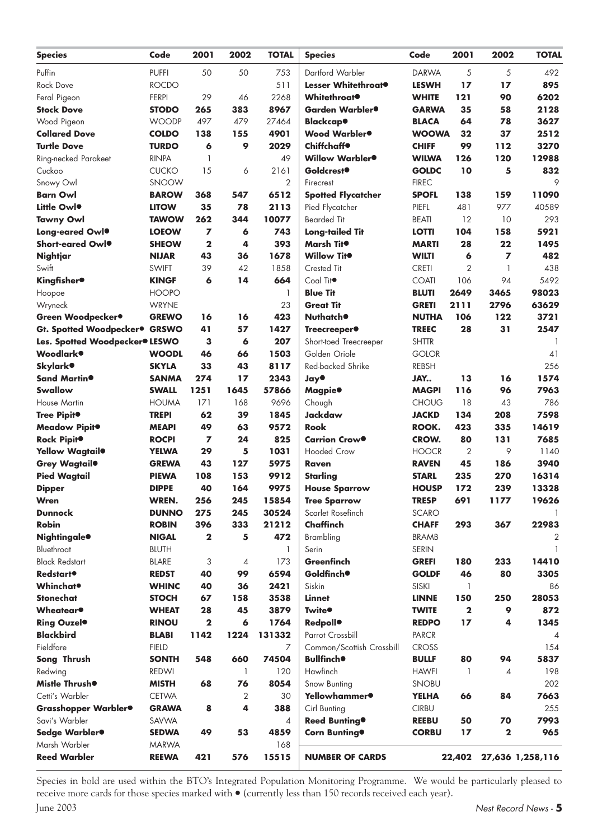| <b>Species</b>                                         | Code                         | 2001         | 2002           | <b>TOTAL</b>   | <b>Species</b>                         | Code                         | 2001           | 2002         | <b>TOTAL</b>     |
|--------------------------------------------------------|------------------------------|--------------|----------------|----------------|----------------------------------------|------------------------------|----------------|--------------|------------------|
| Puffin                                                 | <b>PUFFI</b>                 | 50           | 50             | 753            | Dartford Warbler                       | <b>DARWA</b>                 | 5              | 5            | 492              |
| Rock Dove                                              | <b>ROCDO</b>                 |              |                | 511            | Lesser Whitethroat <sup>®</sup>        | <b>LESWH</b>                 | 17             | 17           | 895              |
| Feral Pigeon                                           | <b>FERPI</b>                 | 29           | 46             | 2268           | <b>Whitethroat</b>                     | <b>WHITE</b>                 | 121            | 90           | 6202             |
| <b>Stock Dove</b>                                      | <b>STODO</b>                 | 265          | 383            | 8967           | Garden Warbler <sup>®</sup>            | <b>GARWA</b>                 | 35             | 58           | 2128             |
| Wood Pigeon                                            | <b>WOODP</b>                 | 497          | 479            | 27464          | Blackcap●                              | <b>BLACA</b>                 | 64             | 78           | 3627             |
| <b>Collared Dove</b>                                   | <b>COLDO</b>                 | 138          | 155            | 4901           | Wood Warbler <sup>®</sup>              | <b>WOOWA</b>                 | 32             | 37           | 2512             |
| <b>Turtle Dove</b>                                     | <b>TURDO</b>                 | 6            | 9              | 2029           | <b>Chiffchaff</b>                      | <b>CHIFF</b>                 | 99             | 112          | 3270             |
| Ring-necked Parakeet                                   | <b>RINPA</b>                 | 1            |                | 49             | Willow Warbler <sup>®</sup>            | <b>WILWA</b>                 | 126            | 120          | 12988            |
| Cuckoo                                                 | <b>CUCKO</b>                 | 15           | 6              | 2161           | <b>Goldcrest<sup>®</sup></b>           | <b>GOLDC</b>                 | 10             | 5            | 832              |
| Snowy Owl                                              | <b>SNOOW</b>                 |              |                | 2              | Firecrest                              | <b>FIREC</b>                 |                |              | 9                |
| <b>Barn Owl</b>                                        | <b>BAROW</b>                 | 368          | 547            | 6512           | <b>Spotted Flycatcher</b>              | <b>SPOFL</b>                 | 138            | 159          | 11090            |
| Little Owlo                                            | <b>LITOW</b>                 | 35           | 78             | 2113           | Pied Flycatcher                        | PIEFL                        | 481            | 977          | 40589            |
| <b>Tawny Owl</b>                                       | <b>TAWOW</b>                 | 262          | 344            | 10077          | <b>Bearded Tit</b>                     | <b>BEATI</b>                 | 12             | 10           | 293              |
| Long-eared Owlo                                        | <b>LOEOW</b>                 | 7            | 6              | 743            | <b>Long-tailed Tit</b>                 | <b>LOTTI</b>                 | 104            | 158          | 5921             |
| Short-eared Owlo                                       | <b>SHEOW</b>                 | $\mathbf{2}$ | 4              | 393            | Marsh Tit <sup>o</sup>                 | <b>MARTI</b>                 | 28             | 22           | 1495             |
| Nightjar                                               | <b>NIJAR</b>                 | 43           | 36             | 1678           | <b>Willow Tito</b>                     | <b>WILTI</b>                 | 6              | 7            | 482              |
| Swift                                                  | <b>SWIFT</b>                 | 39           | 42             | 1858           | Crested Tit                            | <b>CRETI</b>                 | $\overline{2}$ | $\mathbf{1}$ | 438              |
| <b>Kingfisher</b> <sup>®</sup>                         | <b>KINGF</b>                 | 6            | 14             | 664            | Coal Tit <sup>o</sup>                  | <b>COATI</b>                 | 106            | 94           | 5492             |
| Hoopoe                                                 | <b>HOOPO</b>                 |              |                | $\mathbf{1}$   | <b>Blue Tit</b>                        | <b>BLUTI</b>                 | 2649           | 3465         | 98023            |
| Wryneck                                                | <b>WRYNE</b>                 |              |                | 23             | <b>Great Tit</b>                       | <b>GRETI</b>                 | 2111           | 2796         | 63629            |
| Green Woodpecker <sup>®</sup>                          | <b>GREWO</b>                 | 16           | 16             | 423            | <b>Nuthatch®</b>                       | <b>NUTHA</b>                 | 106            | 122          | 3721             |
| Gt. Spotted Woodpecker <sup>®</sup> GRSWO              |                              | 41           | 57             | 1427           | Treecreeper <sup>®</sup>               | <b>TREEC</b>                 | 28             | 31           | 2547             |
| Les. Spotted Woodpecker <sup>®</sup> LESWO             |                              | 3            | 6              | 207            | Short-toed Treecreeper                 | <b>SHTTR</b>                 |                |              |                  |
| Woodlark®                                              | <b>WOODL</b>                 | 46           | 66             | 1503           | Golden Oriole                          | <b>GOLOR</b>                 |                |              | 41               |
| <b>Skylark</b> <sup>o</sup>                            | <b>SKYLA</b>                 | 33           | 43             | 8117           | Red-backed Shrike                      | <b>REBSH</b>                 |                |              | 256              |
| Sand Martin <sup>®</sup>                               | <b>SANMA</b>                 | 274          | 17             | 2343           | <b>Jay®</b>                            | JAY                          | 13             | 16           | 1574             |
| Swallow                                                | <b>SWALL</b>                 | 1251         | 1645           | 57866          |                                        | <b>MAGPI</b>                 | 116            | 96           | 7963             |
| <b>House Martin</b>                                    | <b>HOUMA</b>                 | 171          | 168            | 9696           | Magpie <sup>®</sup><br>Chough          | <b>CHOUG</b>                 | 18             | 43           | 786              |
| Tree Pipit <sup>o</sup>                                | <b>TREPI</b>                 | 62           | 39             | 1845           | <b>Jackdaw</b>                         | <b>JACKD</b>                 | 134            | 208          | 7598             |
|                                                        |                              | 49           | 63             | 9572           | <b>Rook</b>                            | ROOK.                        | 423            | 335          | 14619            |
| Meadow Pipit <sup>®</sup>                              | <b>MEAPI</b>                 | 7            | 24             | 825            | <b>Carrion Crow●</b>                   | CROW.                        | 80             | 131          | 7685             |
| Rock Pipit <sup>o</sup><br>Yellow Wagtail <sup>®</sup> | <b>ROCPI</b>                 | 29           |                | 1031           | <b>Hooded Crow</b>                     | <b>HOOCR</b>                 | 2              | 9            | 1140             |
|                                                        | <b>YELWA</b>                 | 43           | 5<br>127       | 5975           | <b>Raven</b>                           |                              | 45             | 186          | 3940             |
| Grey Wagtail <sup>®</sup>                              | <b>GREWA</b><br><b>PIEWA</b> | 108          | 153            | 9912           | <b>Starling</b>                        | <b>RAVEN</b>                 | 235            | 270          | 16314            |
| <b>Pied Wagtail</b>                                    | <b>DIPPE</b>                 | 40           | 164            | 9975           |                                        | <b>STARL</b>                 | 172            | 239          |                  |
| <b>Dipper</b><br>Wren                                  | <b>WREN.</b>                 | 256          | 245            | 15854          | <b>House Sparrow</b>                   | <b>HOUSP</b><br><b>TRESP</b> | 691            | 1177         | 13328<br>19626   |
| <b>Dunnock</b>                                         | <b>DUNNO</b>                 |              |                | 30524          | <b>Tree Sparrow</b>                    |                              |                |              |                  |
| <b>Robin</b>                                           |                              | 275          | 245            | 21212          | Scarlet Rosefinch<br>Chaffinch         | <b>SCARO</b>                 |                |              | 22983            |
|                                                        | <b>ROBIN</b>                 | 396          | 333            |                |                                        | <b>CHAFF</b>                 | 293            | 367          |                  |
| <b>Nightingale<sup>®</sup></b>                         | <b>NIGAL</b>                 | $\mathbf{2}$ | 5              | 472            | Brambling                              | <b>BRAMB</b>                 |                |              |                  |
| Bluethroat                                             | <b>BLUTH</b>                 |              |                | $\mathbf{1}$   | Serin                                  | <b>SERIN</b>                 |                |              |                  |
| <b>Black Redstart</b><br>Redstart <sup>®</sup>         | <b>BLARE</b>                 | 3            | 4              | 173            | <b>Greenfinch</b><br><b>Goldfinch®</b> | <b>GREFI</b>                 | 180            | 233          | 14410            |
|                                                        | <b>REDST</b>                 | 40           | 99             | 6594           |                                        | <b>GOLDF</b>                 | 46             | 80           | 3305             |
| <b>Whinchat</b> <sup>•</sup>                           | <b>WHINC</b>                 | 40           | 36             | 2421           | Siskin                                 | <b>SISKI</b>                 | 1              |              | 86               |
| <b>Stonechat</b>                                       | <b>STOCH</b>                 | 67           | 158            | 3538           | <b>Linnet</b>                          | <b>LINNE</b>                 | 150            | 250          | 28053            |
| <b>Wheatear</b> <sup>•</sup>                           | <b>WHEAT</b>                 | 28           | 45             | 3879           | <b>Twite<sup>®</sup></b>               | <b>TWITE</b>                 | $\mathbf{2}$   | 9            | 872              |
| Ring Ouzel <sup>o</sup>                                | <b>RINOU</b>                 | $\mathbf{2}$ | 6              | 1764           | <b>Redpoll</b> <sup>o</sup>            | <b>REDPO</b>                 | 17             | 4            | 1345             |
| <b>Blackbird</b>                                       | <b>BLABI</b>                 | 1142         | 1224           | 131332         | Parrot Crossbill                       | <b>PARCR</b>                 |                |              | 4                |
| Fieldfare                                              | <b>FIELD</b>                 |              |                | 7              | Common/Scottish Crossbill              | <b>CROSS</b>                 |                |              | 154              |
| Song Thrush                                            | <b>SONTH</b>                 | 548          | 660            | 74504          | <b>Bullfinch</b> <sup>®</sup>          | <b>BULLF</b>                 | 80             | 94           | 5837             |
| Redwing                                                | <b>REDWI</b>                 |              | 1              | 120            | Hawfinch                               | <b>HAWFI</b>                 | 1              | 4            | 198              |
| Mistle Thrush <sup>®</sup>                             | <b>MISTH</b>                 | 68           | 76             | 8054           | Snow Bunting                           | <b>SNOBU</b>                 |                |              | 202              |
| Cetti's Warbler                                        | <b>CETWA</b>                 |              | $\overline{2}$ | 30             | Yellowhammer <sup>®</sup>              | <b>YELHA</b>                 | 66             | 84           | 7663             |
| Grasshopper Warbler <sup>®</sup>                       | <b>GRAWA</b>                 | 8            | 4              | 388            | Cirl Bunting                           | <b>CIRBU</b>                 |                |              | 255              |
| Savi's Warbler                                         | SAVWA                        |              |                | $\overline{4}$ | Reed Bunting <sup>®</sup>              | <b>REEBU</b>                 | 50             | 70           | 7993             |
| Sedge Warbler <sup>®</sup>                             | <b>SEDWA</b>                 | 49           | 53             | 4859           | Corn Bunting <sup>®</sup>              | <b>CORBU</b>                 | $17$           | $\mathbf 2$  | 965              |
| Marsh Warbler                                          | <b>MARWA</b>                 |              |                | 168            |                                        |                              |                |              |                  |
| <b>Reed Warbler</b>                                    | <b>REEWA</b>                 | 421          | 576            | 15515          | <b>NUMBER OF CARDS</b>                 |                              | 22,402         |              | 27,636 1,258,116 |

Species in bold are used within the BTO's Integrated Population Monitoring Programme. We would be particularly pleased to receive more cards for those species marked with  $\bullet$  (currently less than 150 records received each year).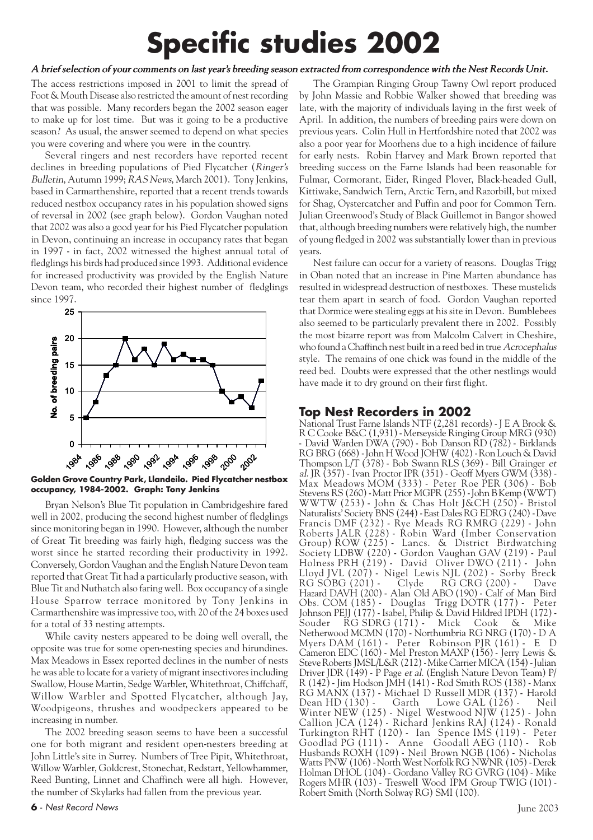# **Specific studies 2002**

#### A brief selection of your comments on last year's breeding season extracted from correspondence with the Nest Records Unit.

The access restrictions imposed in 2001 to limit the spread of Foot & Mouth Disease also restricted the amount of nest recording that was possible. Many recorders began the 2002 season eager to make up for lost time. But was it going to be a productive season? As usual, the answer seemed to depend on what species you were covering and where you were in the country.

Several ringers and nest recorders have reported recent declines in breeding populations of Pied Flycatcher (Ringer's Bulletin, Autumn 1999; RAS News, March 2001). Tony Jenkins, based in Carmarthenshire, reported that a recent trends towards reduced nestbox occupancy rates in his population showed signs of reversal in 2002 (see graph below). Gordon Vaughan noted that 2002 was also a good year for his Pied Flycatcher population in Devon, continuing an increase in occupancy rates that began in 1997 - in fact, 2002 witnessed the highest annual total of fledglings his birds had produced since 1993. Additional evidence for increased productivity was provided by the English Nature Devon team, who recorded their highest number of fledglings since 1997.



**Golden Grove Country Park, Llandeilo. Pied Flycatcher nestbox occupancy, 1984-2002. Graph: Tony Jenkins**

Bryan Nelson's Blue Tit population in Cambridgeshire fared well in 2002, producing the second highest number of fledglings since monitoring began in 1990. However, although the number of Great Tit breeding was fairly high, fledging success was the worst since he started recording their productivity in 1992. Conversely, Gordon Vaughan and the English Nature Devon team reported that Great Tit had a particularly productive season, with Blue Tit and Nuthatch also faring well. Box occupancy of a single House Sparrow terrace monitored by Tony Jenkins in Carmarthenshire was impressive too, with 20 of the 24 boxes used for a total of 33 nesting attempts.

While cavity nesters appeared to be doing well overall, the opposite was true for some open-nesting species and hirundines. Max Meadows in Essex reported declines in the number of nests he was able to locate for a variety of migrant insectivores including Swallow, House Martin, Sedge Warbler, Whitethroat, Chiffchaff, Willow Warbler and Spotted Flycatcher, although Jay, Woodpigeons, thrushes and woodpeckers appeared to be increasing in number.

The 2002 breeding season seems to have been a successful one for both migrant and resident open-nesters breeding at John Little's site in Surrey. Numbers of Tree Pipit, Whitethroat, Willow Warbler, Goldcrest, Stonechat, Redstart, Yellowhammer, Reed Bunting, Linnet and Chaffinch were all high. However, the number of Skylarks had fallen from the previous year.

The Grampian Ringing Group Tawny Owl report produced by John Massie and Robbie Walker showed that breeding was late, with the majority of individuals laying in the first week of April. In addition, the numbers of breeding pairs were down on previous years. Colin Hull in Hertfordshire noted that 2002 was also a poor year for Moorhens due to a high incidence of failure for early nests. Robin Harvey and Mark Brown reported that breeding success on the Farne Islands had been reasonable for Fulmar, Cormorant, Eider, Ringed Plover, Black-headed Gull, Kittiwake, Sandwich Tern, Arctic Tern, and Razorbill, but mixed for Shag, Oystercatcher and Puffin and poor for Common Tern. Julian Greenwood's Study of Black Guillemot in Bangor showed that, although breeding numbers were relatively high, the number of young fledged in 2002 was substantially lower than in previous years.

Nest failure can occur for a variety of reasons. Douglas Trigg in Oban noted that an increase in Pine Marten abundance has resulted in widespread destruction of nestboxes. These mustelids tear them apart in search of food. Gordon Vaughan reported that Dormice were stealing eggs at his site in Devon. Bumblebees also seemed to be particularly prevalent there in 2002. Possibly the most bizarre report was from Malcolm Calvert in Cheshire, who found a Chaffinch nest built in a reed bed in true Acrocephalus style. The remains of one chick was found in the middle of the reed bed. Doubts were expressed that the other nestlings would have made it to dry ground on their first flight.

# **Top Nest Recorders in 2002**

National Trust Farne Islands NTF (2,281 records) - J E A Brook & R C Cooke B&C (1,931) - Merseyside Ringing Group MRG (930) - David Warden DWA (790) - Bob Danson RD (782) - Birklands RG BRG (668) - John H Wood JOHW (402) - Ron Louch & David Thompson L/T (378) - Bob Swann RLS (369) - Bill Grainger et al. JR (357) - Ivan Proctor IPR (351) - Geoff Myers GWM (338) - Max Meadows MOM (333) - Peter Roe PER (306) - Bob Stevens RS (260) - Matt Prior MGPR (255) - John B Kemp (WWT) WWTW (253) - John & Chas Holt J&CH (250) - Bristol Naturalists' Society BNS (244) - East Dales RG EDRG (240) - Dave Francis DMF (232) - Rye Meads RG RMRG (229) - John Roberts JALR (228) - Robin Ward (Imber Conservation Group) ROW (225) - Lancs. & District Birdwatching Society LDBW (220) - Gordon Vaughan GAV (219) - Paul Holness PRH (219) - David Oliver DWO (211) - John Lloyd JVL (207) - Nigel Lewis NJL (202) - Sorby Breck RG SOBG (201) - Clyde RG CRG (200) - Dave Hazard DAVH (200) - Alan Old ABO (190) - Calf of Man Bird<br>Obs. COM (185) - Douglas Trigg DOTR (177) - Peter Obs. COM  $(185)$  - Douglas Trigg DOTR  $(177)$  -Johnson PEJJ (177) - Isabel, Philip & David Hildred IPDH (172) - Souder RG SDRG (171) - Mick Cook & Mike Netherwood MCMN (170) - Northumbria RG NRG (170) - D A Myers DAM (161) - Peter Robinson PJR (161) - E D Cameron EDC (160) - Mel Preston MAXP (156) - Jerry Lewis & Steve Roberts JMSL/L&R (212) - Mike Carrier MICA (154) - Julian Driver JDR (149) - P Page et al. (English Nature Devon Team) P/ R (142) - Jim Hodson JMH (141) - Rod Smith ROS (138) - Manx RG MANX (137) - Michael D Russell MDR (137) - Harold Lowe GAL  $(126)$  -Winter NEW (125) - Nigel Westwood NJW (125) - John Callion JCA (124) - Richard Jenkins RAJ (124) - Ronald Turkington RHT (120) - Ian Spence IMS (119) - Peter Goodlad PG (111) - Anne Goodall AEG (110) - Rob Husbands ROXH (109) - Neil Brown NGB (106) - Nicholas Watts PNW (106) - North West Norfolk RG NWNR (105) - Derek Holman DHOL (104) - Gordano Valley RG GVRG (104) - Mike Rogers MHR (103) - Treswell Wood IPM Group TWIG (101) - Robert Smith (North Solway RG) SMI (100).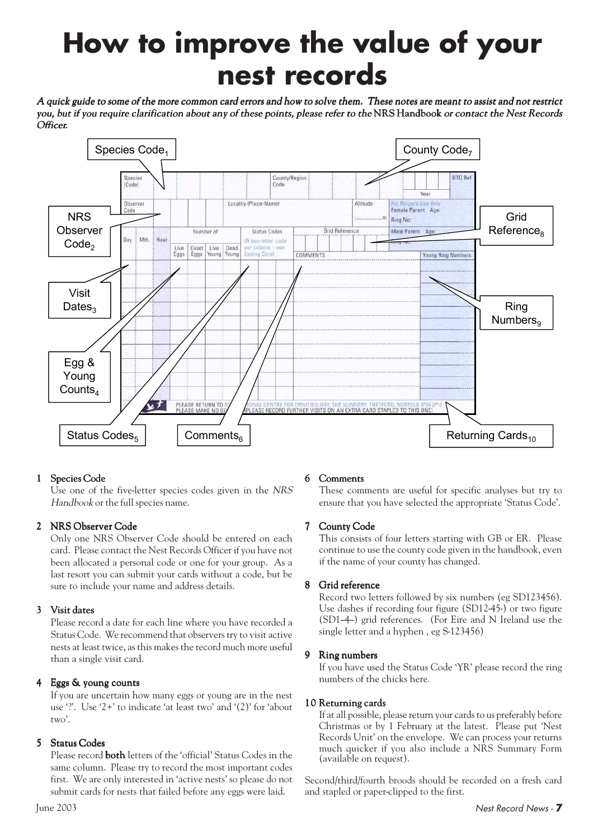# **How to improve the value of your nest records**

A quick guide to some of the more common card errors and how to solve them. These notes are meant to assist and not restrict you, but if you require clarification about any of these points, please refer to the NRS Handbook or contact the Nest Records Officer.



#### 1 Species Code

Use one of the five-letter species codes given in the NRS Handbook or the full species name.

#### 2 NRS Observer Code

Only one NRS Observer Code should be entered on each card. Please contact the Nest Records Officer if you have not been allocated a personal code or one for your group. As a last resort you can submit your cards without a code, but be sure to include your name and address details.

#### 3 Visit dates

Please record a date for each line where you have recorded a Status Code. We recommend that observers try to visit active nests at least twice, as this makes the record much more useful than a single visit card.

#### 4 Eggs & young counts

If you are uncertain how many eggs or young are in the nest use '?'. Use '2+' to indicate 'at least two' and '(2)' for 'about two'.

#### 5 Status Codes

Please record **both** letters of the 'official' Status Codes in the same column. Please try to record the most important codes first. We are only interested in 'active nests' so please do not submit cards for nests that failed before any eggs were laid.

#### 6 Comments

These comments are useful for specific analyses but try to ensure that you have selected the appropriate 'Status Code'.

#### 7 County Code

This consists of four letters starting with GB or ER. Please continue to use the county code given in the handbook, even if the name of your county has changed.

#### 8 Grid reference

Record two letters followed by six numbers (eg SD123456). Use dashes if recording four figure (SD12-45-) or two figure (SD1-4-) grid references. (For Eire and N Ireland use the single letter and a hyphen , eg S-123456)

#### 9 Ring numbers

If you have used the Status Code 'YR' please record the ring numbers of the chicks here.

#### 10 Returning cards

If at all possible, please return your cards to us preferably before Christmas or by 1 February at the latest. Please put 'Nest Records Unit' on the envelope. We can process your returns much quicker if you also include a NRS Summary Form (available on request).

Second/third/fourth broods should be recorded on a fresh card and stapled or paper-clipped to the first.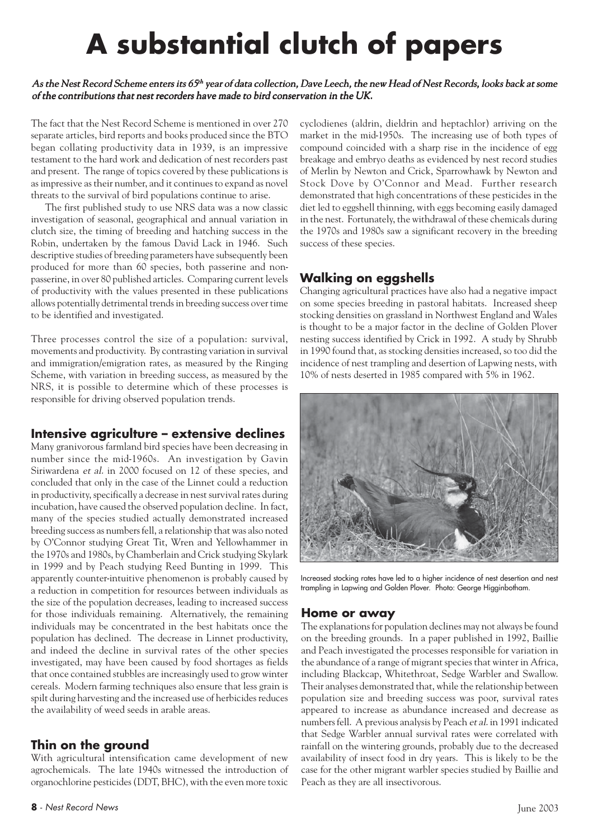# **A substantial clutch of papers**

#### As the Nest Record Scheme enters its 65th year of data collection, Dave Leech, the new Head of Nest Records, looks back at some of the contributions that nest recorders have made to bird conservation in the UK.

The fact that the Nest Record Scheme is mentioned in over 270 separate articles, bird reports and books produced since the BTO began collating productivity data in 1939, is an impressive testament to the hard work and dedication of nest recorders past and present. The range of topics covered by these publications is as impressive as their number, and it continues to expand as novel threats to the survival of bird populations continue to arise.

The first published study to use NRS data was a now classic investigation of seasonal, geographical and annual variation in clutch size, the timing of breeding and hatching success in the Robin, undertaken by the famous David Lack in 1946. Such descriptive studies of breeding parameters have subsequently been produced for more than 60 species, both passerine and nonpasserine, in over 80 published articles. Comparing current levels of productivity with the values presented in these publications allows potentially detrimental trends in breeding success over time to be identified and investigated.

Three processes control the size of a population: survival, movements and productivity. By contrasting variation in survival and immigration/emigration rates, as measured by the Ringing Scheme, with variation in breeding success, as measured by the NRS, it is possible to determine which of these processes is responsible for driving observed population trends.

### **Intensive agriculture – extensive declines**

Many granivorous farmland bird species have been decreasing in number since the mid-1960s. An investigation by Gavin Siriwardena et al. in 2000 focused on 12 of these species, and concluded that only in the case of the Linnet could a reduction in productivity, specifically a decrease in nest survival rates during incubation, have caused the observed population decline. In fact, many of the species studied actually demonstrated increased breeding success as numbers fell, a relationship that was also noted by O'Connor studying Great Tit, Wren and Yellowhammer in the 1970s and 1980s, by Chamberlain and Crick studying Skylark in 1999 and by Peach studying Reed Bunting in 1999. This apparently counter-intuitive phenomenon is probably caused by a reduction in competition for resources between individuals as the size of the population decreases, leading to increased success for those individuals remaining. Alternatively, the remaining individuals may be concentrated in the best habitats once the population has declined. The decrease in Linnet productivity, and indeed the decline in survival rates of the other species investigated, may have been caused by food shortages as fields that once contained stubbles are increasingly used to grow winter cereals. Modern farming techniques also ensure that less grain is spilt during harvesting and the increased use of herbicides reduces the availability of weed seeds in arable areas.

# **Thin on the ground**

With agricultural intensification came development of new agrochemicals. The late 1940s witnessed the introduction of organochlorine pesticides (DDT, BHC), with the even more toxic cyclodienes (aldrin, dieldrin and heptachlor) arriving on the market in the mid-1950s. The increasing use of both types of compound coincided with a sharp rise in the incidence of egg breakage and embryo deaths as evidenced by nest record studies of Merlin by Newton and Crick, Sparrowhawk by Newton and Stock Dove by O'Connor and Mead. Further research demonstrated that high concentrations of these pesticides in the diet led to eggshell thinning, with eggs becoming easily damaged in the nest. Fortunately, the withdrawal of these chemicals during the 1970s and 1980s saw a significant recovery in the breeding success of these species.

# **Walking on eggshells**

Changing agricultural practices have also had a negative impact on some species breeding in pastoral habitats. Increased sheep stocking densities on grassland in Northwest England and Wales is thought to be a major factor in the decline of Golden Plover nesting success identified by Crick in 1992. A study by Shrubb in 1990 found that, as stocking densities increased, so too did the incidence of nest trampling and desertion of Lapwing nests, with 10% of nests deserted in 1985 compared with 5% in 1962.



Increased stocking rates have led to a higher incidence of nest desertion and nest trampling in Lapwing and Golden Plover. Photo: George Higginbotham.

#### **Home or away**

The explanations for population declines may not always be found on the breeding grounds. In a paper published in 1992, Baillie and Peach investigated the processes responsible for variation in the abundance of a range of migrant species that winter in Africa, including Blackcap, Whitethroat, Sedge Warbler and Swallow. Their analyses demonstrated that, while the relationship between population size and breeding success was poor, survival rates appeared to increase as abundance increased and decrease as numbers fell. A previous analysis by Peach et al. in 1991 indicated that Sedge Warbler annual survival rates were correlated with rainfall on the wintering grounds, probably due to the decreased availability of insect food in dry years. This is likely to be the case for the other migrant warbler species studied by Baillie and Peach as they are all insectivorous.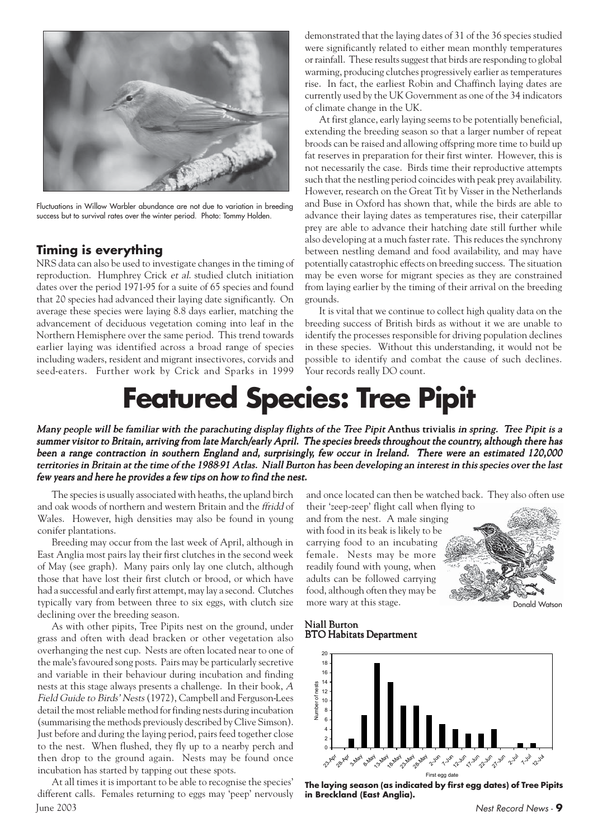

Fluctuations in Willow Warbler abundance are not due to variation in breeding success but to survival rates over the winter period. Photo: Tommy Holden.

### **Timing is everything**

NRS data can also be used to investigate changes in the timing of reproduction. Humphrey Crick et al. studied clutch initiation dates over the period 1971-95 for a suite of 65 species and found that 20 species had advanced their laying date significantly. On average these species were laying 8.8 days earlier, matching the advancement of deciduous vegetation coming into leaf in the Northern Hemisphere over the same period. This trend towards earlier laying was identified across a broad range of species including waders, resident and migrant insectivores, corvids and seed-eaters. Further work by Crick and Sparks in 1999 demonstrated that the laying dates of 31 of the 36 species studied were significantly related to either mean monthly temperatures or rainfall. These results suggest that birds are responding to global warming, producing clutches progressively earlier as temperatures rise. In fact, the earliest Robin and Chaffinch laying dates are currently used by the UK Government as one of the 34 indicators of climate change in the UK.

At first glance, early laying seems to be potentially beneficial, extending the breeding season so that a larger number of repeat broods can be raised and allowing offspring more time to build up fat reserves in preparation for their first winter. However, this is not necessarily the case. Birds time their reproductive attempts such that the nestling period coincides with peak prey availability. However, research on the Great Tit by Visser in the Netherlands and Buse in Oxford has shown that, while the birds are able to advance their laying dates as temperatures rise, their caterpillar prey are able to advance their hatching date still further while also developing at a much faster rate. This reduces the synchrony between nestling demand and food availability, and may have potentially catastrophic effects on breeding success. The situation may be even worse for migrant species as they are constrained from laying earlier by the timing of their arrival on the breeding grounds.

It is vital that we continue to collect high quality data on the breeding success of British birds as without it we are unable to identify the processes responsible for driving population declines in these species. Without this understanding, it would not be possible to identify and combat the cause of such declines. Your records really DO count.

# **Featured Species: Tree Pipit**

Many people will be familiar with the parachuting display flights of the Tree Pipit Anthus trivialis in spring. Tree Pipit is a summer visitor to Britain, arriving from late March/early April. The species breeds throughout the country, although there has been a range contraction in southern England and, surprisingly, few occur in Ireland. There were an estimated 120,000 territories in Britain at the time of the 1988-91 Atlas. Niall Burton has been developing an interest in this species over the last few years and here he provides a few tips on how to find the nest.

The species is usually associated with heaths, the upland birch and oak woods of northern and western Britain and the ffridd of Wales. However, high densities may also be found in young conifer plantations.

Breeding may occur from the last week of April, although in East Anglia most pairs lay their first clutches in the second week of May (see graph). Many pairs only lay one clutch, although those that have lost their first clutch or brood, or which have had a successful and early first attempt, may lay a second. Clutches typically vary from between three to six eggs, with clutch size declining over the breeding season.

As with other pipits, Tree Pipits nest on the ground, under grass and often with dead bracken or other vegetation also overhanging the nest cup. Nests are often located near to one of the male's favoured song posts. Pairs may be particularly secretive and variable in their behaviour during incubation and finding nests at this stage always presents a challenge. In their book, A Field Guide to Birds' Nests (1972), Campbell and Ferguson-Lees detail the most reliable method for finding nests during incubation (summarising the methods previously described by Clive Simson). Just before and during the laying period, pairs feed together close to the nest. When flushed, they fly up to a nearby perch and then drop to the ground again. Nests may be found once incubation has started by tapping out these spots.

June 2003 Nest Record News - **9** At all times it is important to be able to recognise the species' different calls. Females returning to eggs may 'peep' nervously

and once located can then be watched back. They also often use their 'zeep-zeep' flight call when flying to

and from the nest. A male singing with food in its beak is likely to be carrying food to an incubating female. Nests may be more readily found with young, when adults can be followed carrying food, although often they may be more wary at this stage.



#### Niall Burton BTO Habitats Department



**The laying season (as indicated by first egg dates) of Tree Pipits in Breckland (East Anglia).**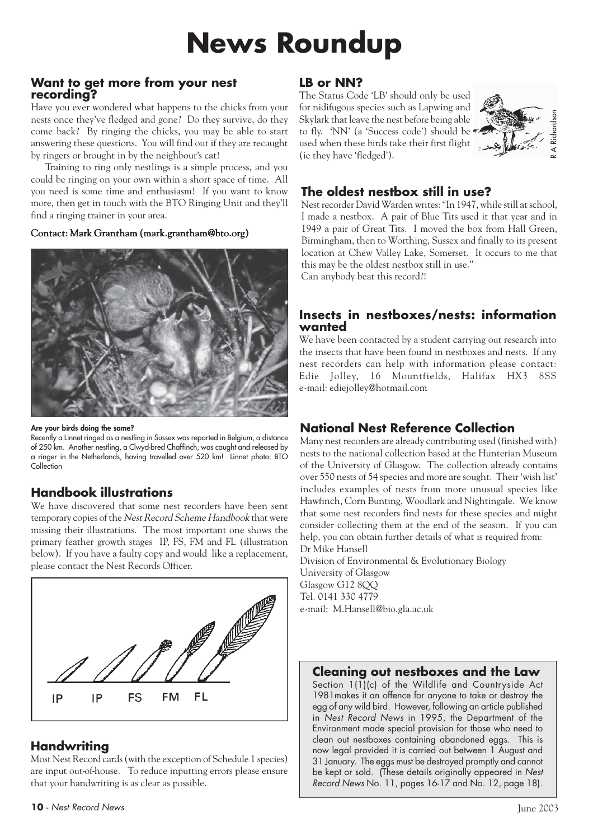# **News Roundup**

#### **Want to get more from your nest recording?**

Have you ever wondered what happens to the chicks from your nests once they've fledged and gone? Do they survive, do they come back? By ringing the chicks, you may be able to start answering these questions. You will find out if they are recaught by ringers or brought in by the neighbour's cat!

Training to ring only nestlings is a simple process, and you could be ringing on your own within a short space of time. All you need is some time and enthusiasm! If you want to know more, then get in touch with the BTO Ringing Unit and they'll find a ringing trainer in your area.

#### Contact: Mark Grantham (mark.grantham@bto.org)



**Are your birds doing the same?**

Recently a Linnet ringed as a nestling in Sussex was reported in Belgium, a distance of 250 km. Another nestling, a Clwyd-bred Chaffinch, was caught and released by a ringer in the Netherlands, having travelled over 520 km! Linnet photo: BTO Collection

# **Handbook illustrations**

We have discovered that some nest recorders have been sent temporary copies of the Nest Record Scheme Handbook that were missing their illustrations. The most important one shows the primary feather growth stages IP, FS, FM and FL (illustration below). If you have a faulty copy and would like a replacement, please contact the Nest Records Officer.



# **Handwriting**

Most Nest Record cards (with the exception of Schedule 1 species) are input out-of-house. To reduce inputting errors please ensure that your handwriting is as clear as possible.

#### **LB or NN?**

The Status Code 'LB' should only be used for nidifugous species such as Lapwing and Skylark that leave the nest before being able to fly. 'NN' (a 'Success code') should be used when these birds take their first flight (ie they have 'fledged').



# **The oldest nestbox still in use?**

Nest recorder David Warden writes: "In 1947, while still at school, I made a nestbox. A pair of Blue Tits used it that year and in 1949 a pair of Great Tits. I moved the box from Hall Green, Birmingham, then to Worthing, Sussex and finally to its present location at Chew Valley Lake, Somerset. It occurs to me that this may be the oldest nestbox still in use." Can anybody beat this record?!

### **Insects in nestboxes/nests: information wanted**

We have been contacted by a student carrying out research into the insects that have been found in nestboxes and nests. If any nest recorders can help with information please contact: Edie Jolley, 16 Mountfields, Halifax HX3 8SS e-mail: ediejolley@hotmail.com

# **National Nest Reference Collection**

Many nest recorders are already contributing used (finished with) nests to the national collection based at the Hunterian Museum of the University of Glasgow. The collection already contains over 550 nests of 54 species and more are sought. Their 'wish list' includes examples of nests from more unusual species like Hawfinch, Corn Bunting, Woodlark and Nightingale. We know that some nest recorders find nests for these species and might consider collecting them at the end of the season. If you can help, you can obtain further details of what is required from: Dr Mike Hansell

Division of Environmental & Evolutionary Biology University of Glasgow Glasgow G12 8OO Tel. 0141 330 4779 e-mail: M.Hansell@bio.gla.ac.uk

# **Cleaning out nestboxes and the Law**

Section 1(1)(c) of the Wildlife and Countryside Act 1981makes it an offence for anyone to take or destroy the egg of any wild bird. However, following an article published in Nest Record News in 1995, the Department of the Environment made special provision for those who need to clean out nestboxes containing abandoned eggs. This is now legal provided it is carried out between 1 August and 31 January. The eggs must be destroyed promptly and cannot be kept or sold. (These details originally appeared in Nest Record News No. 11, pages 16-17 and No. 12, page 18).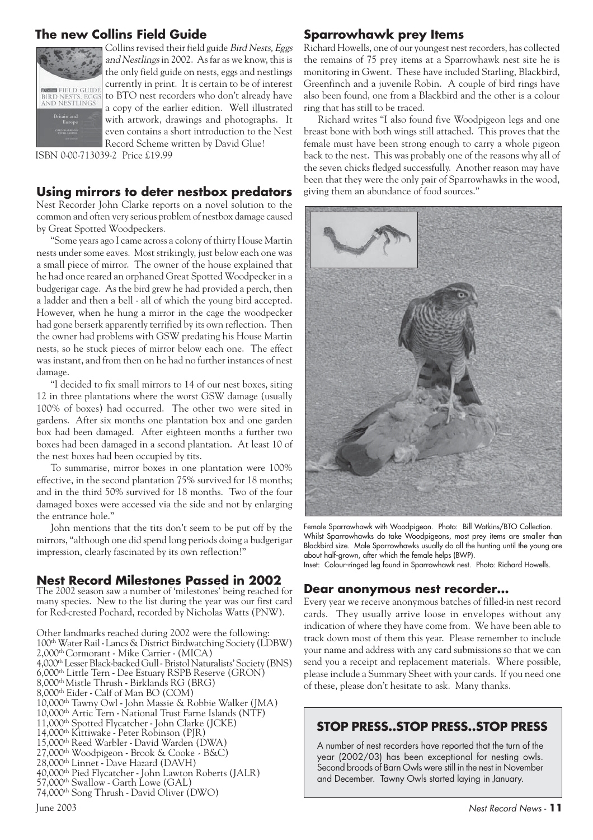# **The new Collins Field Guide**



Collins revised their field guide Bird Nests, Eggs and Nestlings in 2002. As far as we know, this is the only field guide on nests, eggs and nestlings currently in print. It is certain to be of interest to BTO nest recorders who don't already have a copy of the earlier edition. Well illustrated with artwork, drawings and photographs. It even contains a short introduction to the Nest Record Scheme written by David Glue!

ISBN 0-00-713039-2 Price £19.99

#### **Using mirrors to deter nestbox predators**

Nest Recorder John Clarke reports on a novel solution to the common and often very serious problem of nestbox damage caused by Great Spotted Woodpeckers.

"Some years ago I came across a colony of thirty House Martin nests under some eaves. Most strikingly, just below each one was a small piece of mirror. The owner of the house explained that he had once reared an orphaned Great Spotted Woodpecker in a budgerigar cage. As the bird grew he had provided a perch, then a ladder and then a bell - all of which the young bird accepted. However, when he hung a mirror in the cage the woodpecker had gone berserk apparently terrified by its own reflection. Then the owner had problems with GSW predating his House Martin nests, so he stuck pieces of mirror below each one. The effect was instant, and from then on he had no further instances of nest damage.

"I decided to fix small mirrors to 14 of our nest boxes, siting 12 in three plantations where the worst GSW damage (usually 100% of boxes) had occurred. The other two were sited in gardens. After six months one plantation box and one garden box had been damaged. After eighteen months a further two boxes had been damaged in a second plantation. At least 10 of the nest boxes had been occupied by tits.

To summarise, mirror boxes in one plantation were 100% effective, in the second plantation 75% survived for 18 months; and in the third 50% survived for 18 months. Two of the four damaged boxes were accessed via the side and not by enlarging the entrance hole."

John mentions that the tits don't seem to be put off by the mirrors, "although one did spend long periods doing a budgerigar impression, clearly fascinated by its own reflection!"

### **Nest Record Milestones Passed in 2002**

The 2002 season saw a number of 'milestones' being reached for many species. New to the list during the year was our first card for Red-crested Pochard, recorded by Nicholas Watts (PNW).

Other landmarks reached during 2002 were the following: 100th Water Rail - Lancs & District Birdwatching Society (LDBW) 2,000th Cormorant - Mike Carrier - (MICA) 4,000th Lesser Black-backed Gull - Bristol Naturalists' Society (BNS) 6,000th Little Tern - Dee Estuary RSPB Reserve (GRON) 8,000th Mistle Thrush - Birklands RG (BRG) 8,000th Eider - Calf of Man BO (COM) 10,000th Tawny Owl - John Massie & Robbie Walker (JMA) 10,000th Artic Tern - National Trust Farne Islands (NTF) 11,000th Spotted Flycatcher - John Clarke (JCKE) 14,000th Kittiwake - Peter Robinson (PJR) 15,000th Reed Warbler - David Warden (DWA) 27,000th Woodpigeon - Brook & Cooke - B&C) 28,000th Linnet - Dave Hazard (DAVH) 40,000th Pied Flycatcher - John Lawton Roberts (JALR)

- 57,000th Swallow Garth Lowe (GAL)
- 74,000th Song Thrush David Oliver (DWO)

# **Sparrowhawk prey Items**

Richard Howells, one of our youngest nest recorders, has collected the remains of 75 prey items at a Sparrowhawk nest site he is monitoring in Gwent. These have included Starling, Blackbird, Greenfinch and a juvenile Robin. A couple of bird rings have also been found, one from a Blackbird and the other is a colour ring that has still to be traced.

Richard writes "I also found five Woodpigeon legs and one breast bone with both wings still attached. This proves that the female must have been strong enough to carry a whole pigeon back to the nest. This was probably one of the reasons why all of the seven chicks fledged successfully. Another reason may have been that they were the only pair of Sparrowhawks in the wood, giving them an abundance of food sources."



Female Sparrowhawk with Woodpigeon. Photo: Bill Watkins/BTO Collection. Whilst Sparrowhawks do take Woodpigeons, most prey items are smaller than Blackbird size. Male Sparrowhawks usually do all the hunting until the young are about half-grown, after which the female helps (BWP). Inset: Colour-ringed leg found in Sparrowhawk nest. Photo: Richard Howells.

#### **Dear anonymous nest recorder…**

Every year we receive anonymous batches of filled-in nest record cards. They usually arrive loose in envelopes without any indication of where they have come from. We have been able to track down most of them this year. Please remember to include your name and address with any card submissions so that we can send you a receipt and replacement materials. Where possible, please include a Summary Sheet with your cards. If you need one of these, please don't hesitate to ask. Many thanks.

### **STOP PRESS..STOP PRESS..STOP PRESS**

A number of nest recorders have reported that the turn of the year (2002/03) has been exceptional for nesting owls. Second broods of Barn Owls were still in the nest in November and December. Tawny Owls started laying in January.